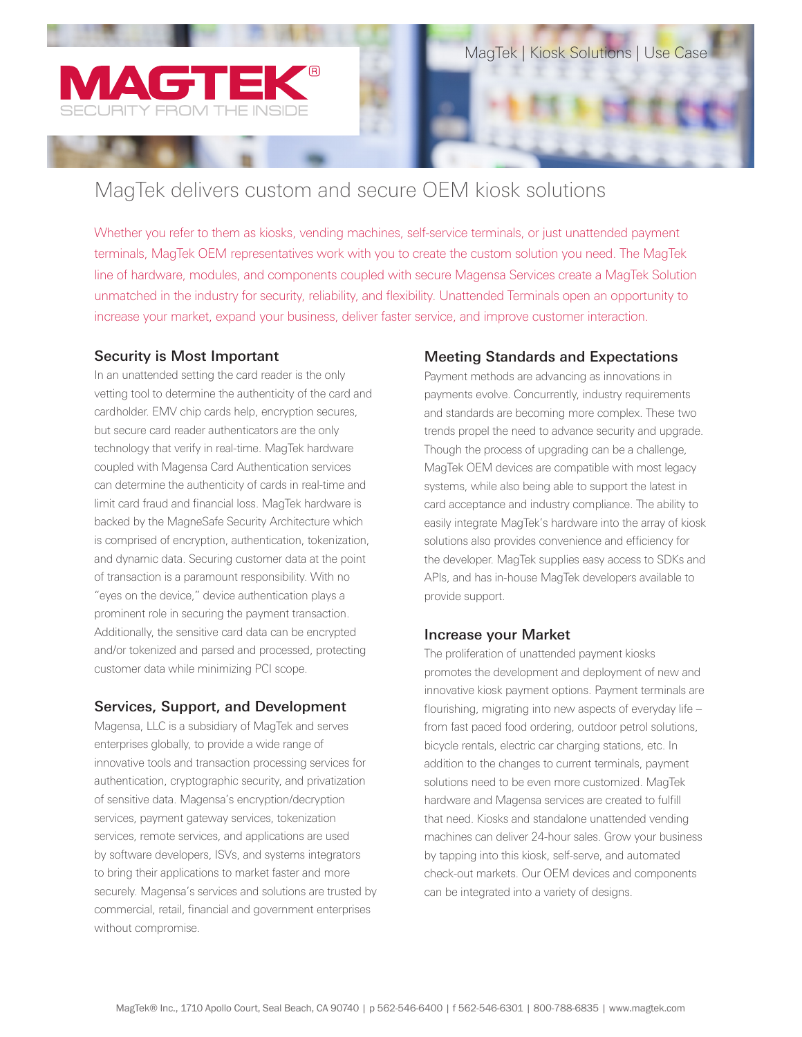

# MagTek delivers custom and secure OEM kiosk solutions

Whether you refer to them as kiosks, vending machines, self-service terminals, or just unattended payment terminals, MagTek OEM representatives work with you to create the custom solution you need. The MagTek line of hardware, modules, and components coupled with secure Magensa Services create a MagTek Solution unmatched in the industry for security, reliability, and flexibility. Unattended Terminals open an opportunity to increase your market, expand your business, deliver faster service, and improve customer interaction.

#### Security is Most Important

In an unattended setting the card reader is the only vetting tool to determine the authenticity of the card and cardholder. EMV chip cards help, encryption secures, but secure card reader authenticators are the only technology that verify in real-time. MagTek hardware coupled with Magensa Card Authentication services can determine the authenticity of cards in real-time and limit card fraud and financial loss. MagTek hardware is backed by the MagneSafe Security Architecture which is comprised of encryption, authentication, tokenization, and dynamic data. Securing customer data at the point of transaction is a paramount responsibility. With no "eyes on the device," device authentication plays a prominent role in securing the payment transaction. Additionally, the sensitive card data can be encrypted and/or tokenized and parsed and processed, protecting customer data while minimizing PCI scope.

#### Services, Support, and Development

Magensa, LLC is a subsidiary of MagTek and serves enterprises globally, to provide a wide range of innovative tools and transaction processing services for authentication, cryptographic security, and privatization of sensitive data. Magensa's encryption/decryption services, payment gateway services, tokenization services, remote services, and applications are used by software developers, ISVs, and systems integrators to bring their applications to market faster and more securely. Magensa's services and solutions are trusted by commercial, retail, financial and government enterprises without compromise.

#### Meeting Standards and Expectations

Payment methods are advancing as innovations in payments evolve. Concurrently, industry requirements and standards are becoming more complex. These two trends propel the need to advance security and upgrade. Though the process of upgrading can be a challenge, MagTek OEM devices are compatible with most legacy systems, while also being able to support the latest in card acceptance and industry compliance. The ability to easily integrate MagTek's hardware into the array of kiosk solutions also provides convenience and efficiency for the developer. MagTek supplies easy access to SDKs and APIs, and has in-house MagTek developers available to provide support.

#### Increase your Market

The proliferation of unattended payment kiosks promotes the development and deployment of new and innovative kiosk payment options. Payment terminals are flourishing, migrating into new aspects of everyday life – from fast paced food ordering, outdoor petrol solutions, bicycle rentals, electric car charging stations, etc. In addition to the changes to current terminals, payment solutions need to be even more customized. MagTek hardware and Magensa services are created to fulfill that need. Kiosks and standalone unattended vending machines can deliver 24-hour sales. Grow your business by tapping into this kiosk, self-serve, and automated check-out markets. Our OEM devices and components can be integrated into a variety of designs.